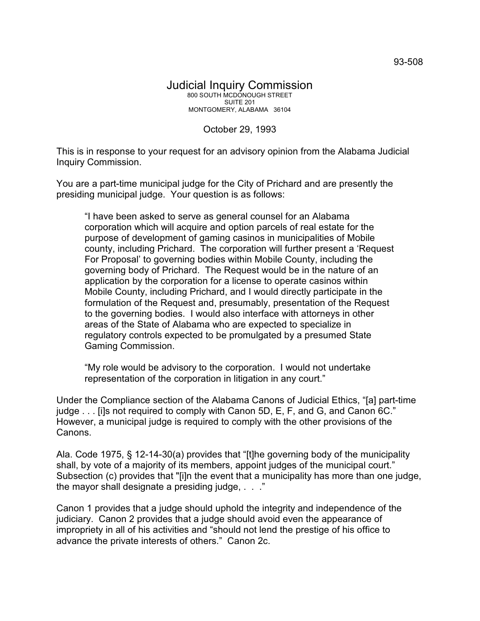## October 29, 1993

This is in response to your request for an advisory opinion from the Alabama Judicial Inquiry Commission.

You are a part-time municipal judge for the City of Prichard and are presently the presiding municipal judge. Your question is as follows:

"I have been asked to serve as general counsel for an Alabama corporation which will acquire and option parcels of real estate for the purpose of development of gaming casinos in municipalities of Mobile county, including Prichard. The corporation will further present a 'Request For Proposal' to governing bodies within Mobile County, including the governing body of Prichard. The Request would be in the nature of an application by the corporation for a license to operate casinos within Mobile County, including Prichard, and I would directly participate in the formulation of the Request and, presumably, presentation of the Request to the governing bodies. I would also interface with attorneys in other areas of the State of Alabama who are expected to specialize in regulatory controls expected to be promulgated by a presumed State Gaming Commission.

"My role would be advisory to the corporation. I would not undertake representation of the corporation in litigation in any court."

Under the Compliance section of the Alabama Canons of Judicial Ethics, "[a] part-time judge . . . [i]s not required to comply with Canon 5D, E, F, and G, and Canon 6C." However, a municipal judge is required to comply with the other provisions of the Canons.

Ala. Code 1975, § 12-14-30(a) provides that "[t]he governing body of the municipality shall, by vote of a majority of its members, appoint judges of the municipal court." Subsection (c) provides that "[i]n the event that a municipality has more than one judge, the mayor shall designate a presiding judge, . . ."

Canon 1 provides that a judge should uphold the integrity and independence of the judiciary. Canon 2 provides that a judge should avoid even the appearance of impropriety in all of his activities and "should not lend the prestige of his office to advance the private interests of others." Canon 2c.